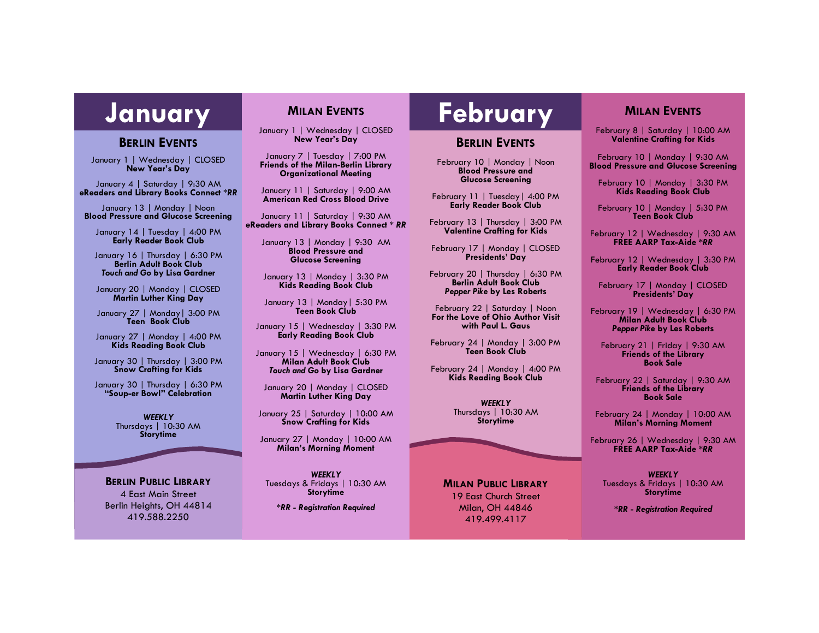## **BERLIN EVENTS**

January 1 | Wednesday | CLOSED **New Year's Day**

January 4 | Saturday | 9:30 AM **eReaders and Library Books Connect** *\*RR*

January 13 | Monday | Noon **Blood Pressure and Glucose Screening**

January 14 | Tuesday | 4:00 PM **Early Reader Book Club**

January 16 | Thursday | 6:30 PM **Berlin Adult Book Club** *Touch and Go* **by Lisa Gardner**

January 20 | Monday | CLOSED **Martin Luther King Day**

January 27 | Monday| 3:00 PM **Teen Book Club**

January 27 | Monday | 4:00 PM **Kids Reading Book Club**

January 30 | Thursday | 3:00 PM **Snow Crafting for Kids**

January 30 | Thursday | 6:30 PM **"Soup-er Bowl" Celebration** 

> *WEEKLY* Thursdays | 10:30 AM **Storytime**

**BERLIN PUBLIC LIBRARY** 4 East Main Street Berlin Heights, OH 44814 419.588.2250

# **MILAN EVENTS**

January 1 | Wednesday | CLOSED **New Year's Day**

January 7 | Tuesday | 7:00 PM **Friends of the Milan-Berlin Library Organizational Meeting**

January 11 | Saturday | 9:00 AM **American Red Cross Blood Drive**

January 11 | Saturday | 9:30 AM **eReaders and Library Books Connect** *\* RR*

January 13 | Monday | 9:30 AM **Blood Pressure and Glucose Screening**

January 13 | Monday | 3:30 PM **Kids Reading Book Club**

January 13 | Monday| 5:30 PM **Teen Book Club**

January 15 | Wednesday | 3:30 PM **Early Reading Book Club**

January 15 | Wednesday | 6:30 PM **Milan Adult Book Club** *Touch and Go* **by Lisa Gardner**

January 20 | Monday | CLOSED **Martin Luther King Day**

January 25 | Saturday | 10:00 AM **Snow Crafting for Kids**

January 27 | Monday | 10:00 AM **Milan's Morning Moment**

*WEEKLY* Tuesdays & Fridays | 10:30 AM **Storytime**

*\*RR - Registration Required*

# **January MILAN EVENTS | February**

# **BERLIN EVENTS**

February 10 | Monday | Noon **Blood Pressure and Glucose Screening**

February 11 | Tuesday| 4:00 PM **Early Reader Book Club**

February 13 | Thursday | 3:00 PM **Valentine Crafting for Kids**

February 17 | Monday | CLOSED **Presidents' Day**

February 20 | Thursday | 6:30 PM **Berlin Adult Book Club** *Pepper Pike* **by Les Roberts**

February 22 | Saturday | Noon **For the Love of Ohio Author Visit with Paul L. Gaus**

February 24 | Monday | 3:00 PM **Teen Book Club**

February 24 | Monday | 4:00 PM **Kids Reading Book Club**

> *WEEKLY* Thursdays | 10:30 AM **Storytime**

#### **MILAN PUBLIC LIBRARY**

19 East Church Street Milan, OH 44846 419.499.4117

# **MILAN EVENTS**

February 8 | Saturday | 10:00 AM **Valentine Crafting for Kids**

February 10 | Monday | 9:30 AM **Blood Pressure and Glucose Screening**

February 10 | Monday | 3:30 PM **Kids Reading Book Club**

February 10 | Monday | 5:30 PM **Teen Book Club**

February 12 | Wednesday | 9:30 AM **FREE AARP Tax-Aide** *\*RR*

February 12 | Wednesday | 3:30 PM **Early Reader Book Club**

February 17 | Monday | CLOSED **Presidents' Day**

February 19 | Wednesday | 6:30 PM **Milan Adult Book Club** *Pepper Pike* **by Les Roberts**

February 21 | Friday | 9:30 AM **Friends of the Library Book Sale**

February 22 | Saturday | 9:30 AM **Friends of the Library Book Sale**

February 24 | Monday | 10:00 AM **Milan's Morning Moment**

February 26 | Wednesday | 9:30 AM **FREE AARP Tax-Aide** *\*RR*

*WEEKLY* Tuesdays & Fridays | 10:30 AM **Storytime**

*\*RR - Registration Required*